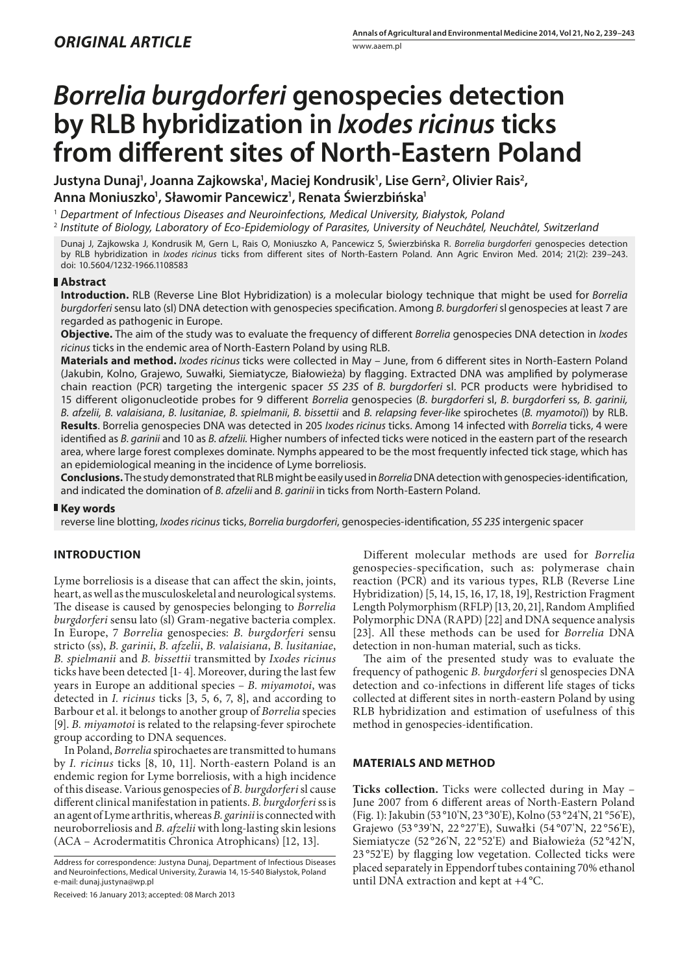# *Borrelia burgdorferi* **genospecies detection by RLB hybridization in** *Ixodes ricinus* **ticks from different sites of North-Eastern Poland**

Justyna Dunaj', Joanna Zajkowska', Maciej Kondrusik', Lise Gern<sup>2</sup>, Olivier Rais<sup>2</sup>, **Anna Moniuszko1 , Sławomir Pancewicz1 , Renata Świerzbińska1**

1  *Department of Infectious Diseases and Neuroinfections, Medical University, Białystok, Poland*

<sup>2</sup> *Institute of Biology, Laboratory of Eco-Epidemiology of Parasites, University of Neuchâtel, Neuchâtel, Switzerland*

Dunaj J, Zajkowska J, Kondrusik M, Gern L, Rais O, Moniuszko A, Pancewicz S, Świerzbińska R. *Borrelia burgdorferi* genospecies detection by RLB hybridization in *Ixodes ricinus* ticks from different sites of North-Eastern Poland. Ann Agric Environ Med. 2014; 21(2): 239–243. doi: 10.5604/1232-1966.1108583

#### **Abstract**

**Introduction.** RLB (Reverse Line Blot Hybridization) is a molecular biology technique that might be used for *Borrelia burgdorferi* sensu lato (sl) DNA detection with genospecies specification. Among *B. burgdorferi* sl genospecies at least 7 are regarded as pathogenic in Europe.

**Objective.** The aim of the study was to evaluate the frequency of different *Borrelia* genospecies DNA detection in *Ixodes ricinus* ticks in the endemic area of North-Eastern Poland by using RLB.

**Materials and method.** *Ixodes ricinus* ticks were collected in May – June, from 6 different sites in North-Eastern Poland (Jakubin, Kolno, Grajewo, Suwałki, Siemiatycze, Białowieża) by flagging. Extracted DNA was amplified by polymerase chain reaction (PCR) targeting the intergenic spacer *5S 23S* of *B. burgdorferi* sl. PCR products were hybridised to 15 different oligonucleotide probes for 9 different *Borrelia* genospecies (*B. burgdorferi* sl, *B. burgdorferi* ss*, B. garinii, B. afzelii, B. valaisiana*, *B. lusitaniae*, *B. spielmanii*, *B. bissettii* and *B. relapsing fever-like* spirochetes (*B. myamotoi*)) by RLB. **Results**. Borrelia genospecies DNA was detected in 205 *Ixodes ricinus* ticks. Among 14 infected with *Borrelia* ticks, 4 were identified as *B. garinii* and 10 as *B. afzelii.* Higher numbers of infected ticks were noticed in the eastern part of the research area, where large forest complexes dominate. Nymphs appeared to be the most frequently infected tick stage, which has an epidemiological meaning in the incidence of Lyme borreliosis.

**Conclusions.** The study demonstrated that RLB might be easily used in *Borrelia* DNA detection with genospecies-identification, and indicated the domination of *B. afzelii* and *B. garinii* in ticks from North-Eastern Poland.

#### **Key words**

reverse line blotting, *Ixodes ricinus* ticks, *Borrelia burgdorferi*, genospecies-identification, *5S 23S* intergenic spacer

## **INTRODUCTION**

Lyme borreliosis is a disease that can affect the skin, joints, heart, as well as the musculoskeletal and neurological systems. The disease is caused by genospecies belonging to *Borrelia burgdorferi* sensu lato (sl) Gram-negative bacteria complex. In Europe, 7 *Borrelia* genospecies: *B. burgdorferi* sensu stricto (ss), *B. garinii*, *B. afzelii*, *B. valaisiana*, *B. lusitaniae*, *B. spielmanii* and *B. bissettii* transmitted by *Ixodes ricinus* ticks have been detected [1- 4]. Moreover, during the last few years in Europe an additional species – *B. miyamotoi*, was detected in *I. ricinus* ticks [3, 5, 6, 7, 8], and according to Barbour et al. it belongs to another group of *Borrelia* species [9]. *B. miyamotoi* is related to the relapsing-fever spirochete group according to DNA sequences.

In Poland, *Borrelia* spirochaetes are transmitted to humans by *I. ricinus* ticks [8, 10, 11]. North-eastern Poland is an endemic region for Lyme borreliosis, with a high incidence of this disease. Various genospecies of *B. burgdorferi* sl cause different clinical manifestation in patients. *B. burgdorferi* ss is an agent of Lyme arthritis,whereas *B. garinii* is connected with neuroborreliosis and *B. afzelii* with long-lasting skin lesions (ACA – Acrodermatitis Chronica Atrophicans) [12, 13].

Address for correspondence: Justyna Dunaj, Department of Infectious Diseases and Neuroinfections, Medical University, Żurawia 14, 15-540 Białystok, Poland e-mail: dunaj.justyna@wp.pl

Received: 16 January 2013; accepted: 08 March 2013

Different molecular methods are used for *Borrelia* genospecies-specification, such as: polymerase chain reaction (PCR) and its various types, RLB (Reverse Line Hybridization) [5, 14, 15, 16, 17, 18, 19], Restriction Fragment Length Polymorphism (RFLP) [13, 20, 21], Random Amplified Polymorphic DNA (RAPD) [22] and DNA sequence analysis [23]. All these methods can be used for *Borrelia* DNA detection in non-human material, such as ticks.

The aim of the presented study was to evaluate the frequency of pathogenic *B. burgdorferi* sl genospecies DNA detection and co-infections in different life stages of ticks collected at different sites in north-eastern Poland by using RLB hybridization and estimation of usefulness of this method in genospecies-identification.

#### **MATERIALS AND METHOD**

**Ticks collection.** Ticks were collected during in May – June 2007 from 6 different areas of North-Eastern Poland (Fig. 1): Jakubin (53°10'N, 23°30'E), Kolno (53°24'N, 21°56'E), Grajewo (53 °39'N, 22 °27'E), Suwałki (54 °07'N, 22 °56'E), Siemiatycze (52 °26'N, 22 °52'E) and Białowieża (52 °42'N, 23 °52'E) by flagging low vegetation. Collected ticks were placed separately in Eppendorf tubes containing 70% ethanol until DNA extraction and kept at +4 °C.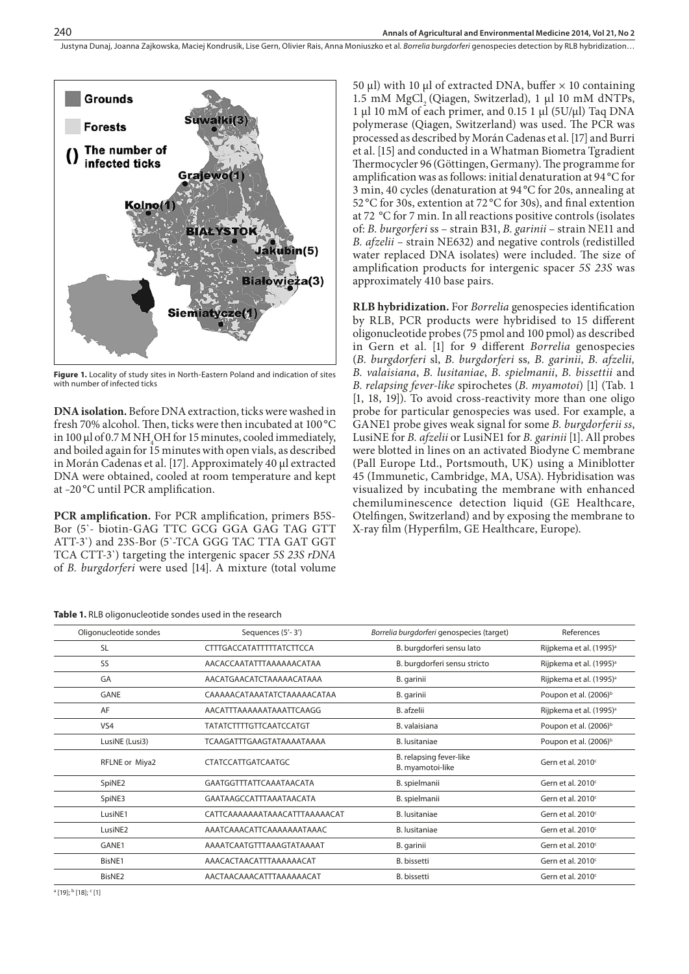Justyna Dunaj, Joanna Zajkowska, Maciej Kondrusik, Lise Gern, Olivier Rais, Anna Moniuszko et al. *Borrelia burgdorferi* genospecies detection by RLB hybridization…



**Figure 1.** Locality of study sites in North-Eastern Poland and indication of sites with number of infected ticks

**DNA** isolation. Before DNA extraction, ticks were washed in fresh 70% alcohol. Then, ticks were then incubated at 100 °C in 100  $\mu$ l of 0.7 M NH<sub>4</sub>OH for 15 minutes, cooled immediately, and boiled again for 15 minutes with open vials, as described in Morán Cadenas et al. [17]. Approximately 40 µl extracted DNA were obtained, cooled at room temperature and kept at –20 °C until PCR amplification.

**PCR amplification.** For PCR amplification, primers B5S-Bor (5`- biotin-GAG TTC GCG GGA GAG TAG GTT ATT-3`) and 23S-Bor (5`-TCA GGG TAC TTA GAT GGT TCA CTT-3`) targeting the intergenic spacer *5S 23S rDNA*  of *B. burgdorferi* were used [14]. A mixture (total volume

**Table 1.** RLB oligonucleotide sondes used in the research

50 µl) with 10 µl of extracted DNA, buffer  $\times$  10 containing 1.5 mM MgCl<sub>2</sub> (Qiagen, Switzerlad), 1  $\mu$ l 10 mM dNTPs, 1 µl 10 mM of each primer, and 0.15 1 µl (5U/µl) Taq DNA polymerase (Qiagen, Switzerland) was used. The PCR was processed as described by Morán Cadenas et al. [17] and Burri et al. [15] and conducted in a Whatman Biometra Tgradient Thermocycler 96 (Göttingen, Germany). The programme for amplification was as follows: initial denaturation at 94 °C for 3 min, 40 cycles (denaturation at 94 °C for 20s, annealing at 52 °C for 30s, extention at 72 °C for 30s), and final extention at 72 °C for 7 min. In all reactions positive controls (isolates of: *B. burgorferi* ss – strain B31, *B. garinii* – strain NE11 and *B. afzelii –* strain NE632) and negative controls (redistilled water replaced DNA isolates) were included. The size of amplification products for intergenic spacer *5S 23S* was approximately 410 base pairs.

**RLB hybridization.** For *Borrelia* genospecies identification by RLB, PCR products were hybridised to 15 different oligonucleotide probes (75 pmol and 100 pmol) as described in Gern et al. [1] for 9 different *Borrelia* genospecies (*B. burgdorferi* sl, *B. burgdorferi* ss*, B. garinii, B. afzelii, B. valaisiana*, *B. lusitaniae*, *B. spielmanii*, *B. bissettii* and *B. relapsing fever-like* spirochetes (*B. myamotoi*) [1] (Tab. 1 [1, 18, 19]). To avoid cross-reactivity more than one oligo probe for particular genospecies was used. For example, a GANE1 probe gives weak signal for some *B. burgdorferii ss*, LusiNE for *B. afzelii* or LusiNE1 for *B. garinii* [1]. All probes were blotted in lines on an activated Biodyne C membrane (Pall Europe Ltd., Portsmouth, UK) using a Miniblotter 45 (Immunetic, Cambridge, MA, USA). Hybridisation was visualized by incubating the membrane with enhanced chemiluminescence detection liquid (GE Healthcare, Otelfingen, Switzerland) and by exposing the membrane to X-ray film (Hyperfilm, GE Healthcare, Europe).

| Oligonucleotide sondes |                     | Sequences (5'-3')              | Borrelia burgdorferi genospecies (target)   | References                          |  |  |
|------------------------|---------------------|--------------------------------|---------------------------------------------|-------------------------------------|--|--|
|                        | <b>SL</b>           | CTTTGACCATATTTTTATCTTCCA       | B. burgdorferi sensu lato                   | Rijpkema et al. (1995) <sup>a</sup> |  |  |
|                        | SS                  | AACACCAATATTTAAAAAACATAA       | B. burgdorferi sensu stricto                | Rijpkema et al. (1995) <sup>a</sup> |  |  |
|                        | GA                  | AACATGAACATCTAAAAACATAAA       | B. garinii                                  | Rijpkema et al. (1995) <sup>a</sup> |  |  |
|                        | <b>GANE</b>         | CAAAAACATAAATATCTAAAAACATAA    | B. garinii                                  | Poupon et al. (2006) <sup>b</sup>   |  |  |
|                        | AF                  | AACATTTAAAAAATAAATTCAAGG       | B. afzelii                                  | Rijpkema et al. (1995) <sup>a</sup> |  |  |
|                        | VS4                 | <b>TATATCTTTTGTTCAATCCATGT</b> | B. valaisiana                               | Poupon et al. (2006) <sup>b</sup>   |  |  |
|                        | LusiNE (Lusi3)      | TCAAGATTTGAAGTATAAAATAAAA      | <b>B.</b> lusitaniae                        | Poupon et al. (2006) <sup>b</sup>   |  |  |
|                        | RFLNE or Miya2      | CTATCCATTGATCAATGC             | B. relapsing fever-like<br>B. myamotoi-like | Gern et al. $2010c$                 |  |  |
|                        | SpiNE2              | GAATGGTTTATTCAAATAACATA        | B. spielmanii                               | Gern et al. 2010 <sup>c</sup>       |  |  |
|                        | SpiNE3              | GAATAAGCCATTTAAATAACATA        | B. spielmanii                               | Gern et al. 2010 <sup>c</sup>       |  |  |
|                        | LusiNE1             | CATTCAAAAAAATAAACATTTAAAAACAT  | <b>B.</b> lusitaniae                        | Gern et al. 2010 <sup>c</sup>       |  |  |
|                        | LusiNE <sub>2</sub> | AAATCAAACATTCAAAAAAATAAAC      | <b>B.</b> lusitaniae                        | Gern et al. 2010 <sup>c</sup>       |  |  |
|                        | GANE1               | AAAATCAATGTTTAAAGTATAAAAT      | B. garinii                                  | Gern et al. 2010 <sup>c</sup>       |  |  |
|                        | BisNE1              | AAACACTAACATTTAAAAAACAT        | B. bissetti                                 | Gern et al. 2010 <sup>c</sup>       |  |  |
|                        | BisNE <sub>2</sub>  | AACTAACAAACATTTAAAAAACAT       | B. bissetti                                 | Gern et al. 2010 <sup>c</sup>       |  |  |
|                        |                     |                                |                                             |                                     |  |  |

<sup>a</sup> [19]; <sup>b</sup> [18]; <sup>c</sup> [1]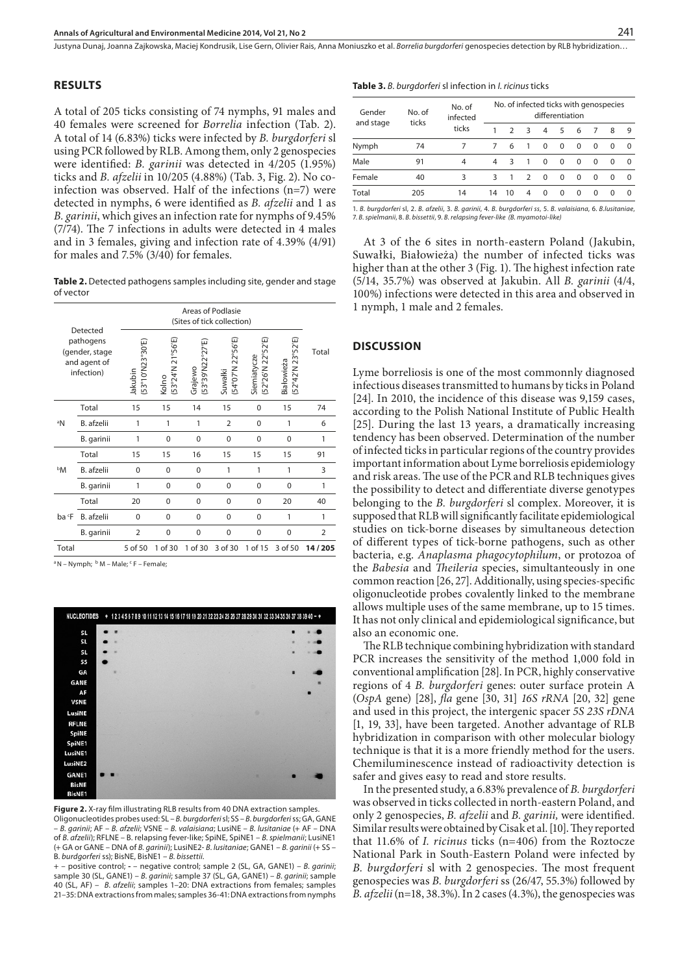Justyna Dunaj, Joanna Zajkowska, Maciej Kondrusik, Lise Gern, Olivier Rais, Anna Moniuszko et al. *Borrelia burgdorferi* genospecies detection by RLB hybridization…

#### **RESULTS**

A total of 205 ticks consisting of 74 nymphs, 91 males and 40 females were screened for *Borrelia* infection (Tab. 2). A total of 14 (6.83%) ticks were infected by *B. burgdorferi* sl using PCR followed by RLB. Among them, only 2 genospecies were identified: *B. garinii* was detected in 4/205 (1.95%) ticks and *B. afzelii* in 10/205 (4.88%) (Tab. 3, Fig. 2). No coinfection was observed. Half of the infections (n=7) were detected in nymphs, 6 were identified as *B. afzelii* and 1 as *B. garinii*, which gives an infection rate for nymphs of 9.45% (7/74). The 7 infections in adults were detected in 4 males and in 3 females, giving and infection rate of 4.39% (4/91) for males and 7.5% (3/40) for females.

Table 2. Detected pathogens samples including site, gender and stage of vector

|                                                           | Detected          |                            | Areas of Podlasie<br>(Sites of tick collection) |                            |                              |                                 |                                 |                |  |  |
|-----------------------------------------------------------|-------------------|----------------------------|-------------------------------------------------|----------------------------|------------------------------|---------------------------------|---------------------------------|----------------|--|--|
| pathogens<br>(gender, stage<br>and agent of<br>infection) |                   | (53°10'N23°30'E<br>Jakubin | (53°24'N 21°56'E)<br>Kolno                      | (53°39'N22°27'E<br>Grajewo | (54°07'N 22°56'E)<br>Suwałki | (52°26'N 22°52'E<br>Siemiatycze | (52°42'N 23°52'E)<br>Białowieża | Total          |  |  |
|                                                           | Total             | 15                         | 15                                              | 14                         | 15                           | $\mathbf 0$                     | 15                              | 74             |  |  |
| aN                                                        | B. afzelii        | 1                          | 1                                               | 1                          | $\overline{2}$               | $\Omega$                        | 1                               | 6              |  |  |
|                                                           | B. garinii        | 1                          | 0                                               | 0                          | $\mathbf 0$                  | 0                               | $\mathbf 0$                     | 1              |  |  |
|                                                           | Total             | 15                         | 15                                              | 16                         | 15                           | 15                              | 15                              | 91             |  |  |
| bМ                                                        | B. afzelii        | $\Omega$                   | $\Omega$                                        | $\Omega$                   | 1                            | 1                               | 1                               | 3              |  |  |
|                                                           | B. garinii        | 1                          | 0                                               | 0                          | $\mathbf 0$                  | $\mathbf 0$                     | $\mathbf 0$                     | 1              |  |  |
|                                                           | Total             | 20                         | 0                                               | 0                          | 0                            | $\mathbf 0$                     | 20                              | 40             |  |  |
| ba F                                                      | <b>B.</b> afzelii | 0                          | 0                                               | 0                          | 0                            | $\mathbf 0$                     | 1                               | $\mathbf{1}$   |  |  |
|                                                           | B. garinii        | $\overline{2}$             | 0                                               | 0                          | 0                            | $\mathbf 0$                     | $\mathbf 0$                     | $\overline{2}$ |  |  |
| Total                                                     |                   | 5 of 50                    | 1 of 30                                         | 1 of 30                    | 3 of 30                      | 1 of 15                         | 3 of 50                         | 14/205         |  |  |

<sup>a</sup> N – Nymph; <sup>b</sup> M – Male; <sup>c</sup> F – Female;



**Figure 2.** X-ray film illustrating RLB results from 40 DNA extraction samples. Oligonucleotides probes used: SL – *B. burgdorferi* sl; SS – *B. burgdorferi* ss; GA, GANE – *B. garinii*; AF – *B. afzelii*; VSNE – *B. valaisiana*; LusiNE – *B. lusitaniae* (+ AF – DNA of *B. afzelii*); RFLNE – B. relapsing fever-like; SpiNE, SpiNE1 – *B. spielmanii*; LusiNE1 (+ GA or GANE – DNA of *B. garinii*); LusiNE2- *B. lusitaniae*; GANE1 – *B. garinii* (+ SS – B*. burdgorferi* ss); BisNE, BisNE1 – *B. bissettii*.

+ – positive control; **-** – negative control; sample 2 (SL, GA, GANE1) – *B. garinii*; sample 30 (SL, GANE1) – *B. garinii*; sample 37 (SL, GA, GANE1) – *B. garinii*; sample 40 (SL, AF) – *B. afzelii*; samples 1–20: DNA extractions from females; samples 21–35: DNA extractions from males; samples 36-41: DNA extractions from nymphs **Table 3.** *B. burgdorferi* sl infection in *I. ricinus* ticks

| Gender    | No. of<br>ticks | No. of<br>infected<br>ticks | No. of infected ticks with genospecies<br>differentiation |               |               |          |          |          |          |          |          |
|-----------|-----------------|-----------------------------|-----------------------------------------------------------|---------------|---------------|----------|----------|----------|----------|----------|----------|
| and stage |                 |                             | 1                                                         | $\mathcal{D}$ | २             | 4        | 5        | 6        | 7        | 8        | 9        |
| Nymph     | 74              |                             | 7                                                         | 6             | 1             | $\Omega$ | $\Omega$ | $\Omega$ | $\Omega$ | $\Omega$ | $\Omega$ |
| Male      | 91              | 4                           | $\overline{a}$                                            | २             | 1             | $\Omega$ | $\Omega$ | $\Omega$ | $\Omega$ | $\Omega$ | $\Omega$ |
| Female    | 40              | 3                           | २                                                         |               | $\mathcal{D}$ | $\Omega$ | $\Omega$ | $\Omega$ | $\Omega$ | $\Omega$ | $\Omega$ |
| Total     | 205             | 14                          | 14                                                        | 10            | 4             | $\Omega$ | $\Omega$ | $\Omega$ | $\Omega$ | $\Omega$ | $\Omega$ |

1. *B. burgdorferi* sl, 2. *B. afzelii*, 3. *B. garinii*, 4. *B. burgdorferi ss*, 5. *B. valaisiana*, 6. *B.lusitaniae*, 7. *B. spielmanii*, 8. *B. bissettii*, 9. *B. relapsing fever-like (B. myamotoi-like)*

At 3 of the 6 sites in north-eastern Poland (Jakubin, Suwałki, Białowieża) the number of infected ticks was higher than at the other 3 (Fig. 1). The highest infection rate (5/14, 35.7%) was observed at Jakubin. All *B. garinii* (4/4, 100%) infections were detected in this area and observed in 1 nymph, 1 male and 2 females.

#### **DISCUSSION**

Lyme borreliosis is one of the most commonnly diagnosed infectious diseases transmitted to humans by ticks in Poland [24]. In 2010, the incidence of this disease was 9,159 cases, according to the Polish National Institute of Public Health [25]. During the last 13 years, a dramatically increasing tendency has been observed. Determination of the number of infected ticks in particular regions of the country provides important information about Lyme borreliosis epidemiology and risk areas. The use of the PCR and RLB techniques gives the possibility to detect and differentiate diverse genotypes belonging to the *B. burgdorferi* sl complex. Moreover, it is supposed that RLB will significantly facilitate epidemiological studies on tick-borne diseases by simultaneous detection of different types of tick-borne pathogens, such as other bacteria, e.g. *Anaplasma phagocytophilum*, or protozoa of the *Babesia* and *Theileria* species, simultanteously in one common reaction [26, 27]. Additionally, using species-specific oligonucleotide probes covalently linked to the membrane allows multiple uses of the same membrane, up to 15 times. It has not only clinical and epidemiological significance, but also an economic one.

The RLB technique combining hybridization with standard PCR increases the sensitivity of the method 1,000 fold in conventional amplification [28]. In PCR, highly conservative regions of 4 *B. burgdorferi* genes: outer surface protein A (*OspA* gene) [28], *fla* gene [30, 31] *16S rRNA* [20, 32] gene and used in this project, the intergenic spacer *5S 23S rDNA* [1, 19, 33], have been targeted. Another advantage of RLB hybridization in comparison with other molecular biology technique is that it is a more friendly method for the users. Chemiluminescence instead of radioactivity detection is safer and gives easy to read and store results.

In the presented study, a 6.83% prevalence of *B. burgdorferi*  was observed in ticks collected in north-eastern Poland, and only 2 genospecies, *B. afzelii* and *B. garinii,* were identified. Similar results were obtained by Cisak et al. [10]. They reported that 11.6% of *I. ricinus* ticks (n=406) from the Roztocze National Park in South-Eastern Poland were infected by *B. burgdorferi* sl with 2 genospecies. The most frequent genospecies was *B. burgdorferi* ss (26/47, 55.3%) followed by *B. afzelii* (n=18, 38.3%). In 2 cases (4.3%), the genospecies was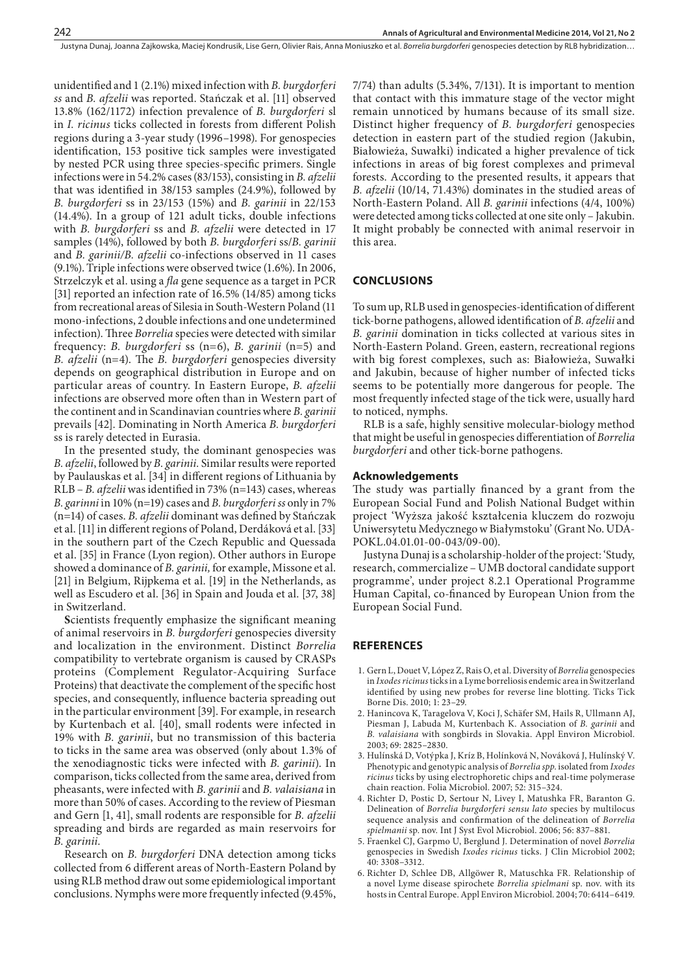unidentified and 1 (2.1%) mixed infection with *B. burgdorferi ss* and *B. afzelii* was reported. Stańczak et al. [11] observed 13.8% (162/1172) infection prevalence of *B. burgdorferi* sl in *I. ricinus* ticks collected in forests from different Polish regions during a 3-year study (1996–1998). For genospecies identification, 153 positive tick samples were investigated by nested PCR using three species-specific primers. Single infections were in 54.2% cases (83/153), consisting in *B. afzelii*  that was identified in 38/153 samples (24.9%), followed by *B. burgdorferi* ss in 23/153 (15%) and *B. garinii* in 22/153 (14.4%). In a group of 121 adult ticks, double infections with *B. burgdorferi* ss and *B. afzelii* were detected in 17 samples (14%), followed by both *B. burgdorferi* ss/*B. garinii* and *B. garinii/B. afzelii* co-infections observed in 11 cases (9.1%). Triple infections were observed twice (1.6%). In 2006, Strzelczyk et al. using a *fla* gene sequence as a target in PCR [31] reported an infection rate of 16.5% (14/85) among ticks from recreational areas of Silesia in South-Western Poland (11 mono-infections, 2 double infections and one undetermined infection). Three *Borrelia* species were detected with similar frequency: *B. burgdorferi* ss (n=6), *B. garinii* (n=5) and *B. afzelii* (n=4). The *B. burgdorferi* genospecies diversity depends on geographical distribution in Europe and on particular areas of country. In Eastern Europe, *B. afzelii*  infections are observed more often than in Western part of the continent and in Scandinavian countries where *B. garinii*  prevails [42]. Dominating in North America *B. burgdorferi*  ss is rarely detected in Eurasia.

In the presented study, the dominant genospecies was *B. afzelii*, followed by *B. garinii.* Similar results were reported by Paulauskas et al. [34] in different regions of Lithuania by RLB – *B. afzelii* was identified in 73% (n=143) cases, whereas *B. garinni* in 10% (n=19) cases and *B. burgdorferi ss* only in 7% (n=14) of cases. *B. afzelii* dominant was defined by Stańczak et al. [11] in different regions of Poland, Derdáková et al. [33] in the southern part of the Czech Republic and Quessada et al. [35] in France (Lyon region). Other authors in Europe showed a dominance of *B. garinii,* for example, Missone et al. [21] in Belgium, Rijpkema et al. [19] in the Netherlands, as well as Escudero et al. [36] in Spain and Jouda et al. [37, 38] in Switzerland.

**S**cientists frequently emphasize the significant meaning of animal reservoirs in *B. burgdorferi* genospecies diversity and localization in the environment. Distinct *Borrelia*  compatibility to vertebrate organism is caused by CRASPs proteins (Complement Regulator-Acquiring Surface Proteins) that deactivate the complement of the specific host species, and consequently, influence bacteria spreading out in the particular environment [39]. For example, in research by Kurtenbach et al. [40], small rodents were infected in 19% with *B. garinii*, but no transmission of this bacteria to ticks in the same area was observed (only about 1.3% of the xenodiagnostic ticks were infected with *B. garinii*). In comparison, ticks collected from the same area, derived from pheasants, were infected with *B. garinii* and *B. valaisiana* in more than 50% of cases. According to the review of Piesman and Gern [1, 41], small rodents are responsible for *B. afzelii* spreading and birds are regarded as main reservoirs for *B. garinii*.

Research on *B. burgdorferi* DNA detection among ticks collected from 6 different areas of North-Eastern Poland by using RLB method draw out some epidemiological important conclusions. Nymphs were more frequently infected (9.45%,

7/74) than adults (5.34%, 7/131). It is important to mention that contact with this immature stage of the vector might remain unnoticed by humans because of its small size. Distinct higher frequency of *B. burgdorferi* genospecies detection in eastern part of the studied region (Jakubin, Białowieża, Suwałki) indicated a higher prevalence of tick infections in areas of big forest complexes and primeval forests. According to the presented results, it appears that *B. afzelii* (10/14, 71.43%) dominates in the studied areas of North-Eastern Poland. All *B. garinii* infections (4/4, 100%) were detected among ticks collected at one site only – Jakubin. It might probably be connected with animal reservoir in this area.

## **CONCLUSIONS**

To sum up, RLB used in genospecies-identification of different tick-borne pathogens, allowed identification of *B. afzelii* and *B. garinii* domination in ticks collected at various sites in North-Eastern Poland. Green, eastern, recreational regions with big forest complexes, such as: Białowieża, Suwałki and Jakubin, because of higher number of infected ticks seems to be potentially more dangerous for people. The most frequently infected stage of the tick were, usually hard to noticed, nymphs.

RLB is a safe, highly sensitive molecular-biology method that might be useful in genospecies differentiation of *Borrelia burgdorferi* and other tick-borne pathogens.

### **Acknowledgements**

The study was partially financed by a grant from the European Social Fund and Polish National Budget within project 'Wyższa jakość kształcenia kluczem do rozwoju Uniwersytetu Medycznego w Białymstoku' (Grant No. UDA-POKL.04.01.01-00-043/09-00).

Justyna Dunaj is a scholarship-holder of the project: 'Study, research, commercialize – UMB doctoral candidate support programme', under project 8.2.1 Operational Programme Human Capital, co-financed by European Union from the European Social Fund.

## **REFERENCES**

- 1. Gern L, Douet V, López Z, Rais O, et al. Diversity of *Borrelia* genospecies in *Ixodes ricinus* ticks in a Lyme borreliosis endemic area in Switzerland identified by using new probes for reverse line blotting. Ticks Tick Borne Dis. 2010; 1: 23–29.
- 2. Hanincova K, Taragelova V, Koci J, Schäfer SM, Hails R, Ullmann AJ, Piesman J, Labuda M, Kurtenbach K. Association of *B. garinii* and *B. valaisiana* with songbirds in Slovakia. Appl Environ Microbiol. 2003; 69: 2825–2830.
- 3. Hulínská D, Votýpka J, Kríz B, Holínková N, Nováková J, Hulínský V. Phenotypic and genotypic analysis of *Borrelia spp*. isolated from *Ixodes ricinus* ticks by using electrophoretic chips and real-time polymerase chain reaction. Folia Microbiol. 2007; 52: 315–324.
- 4. Richter D, Postic D, Sertour N, Livey I, Matushka FR, Baranton G. Delineation of *Borrelia burgdorferi sensu lato* species by multilocus sequence analysis and confirmation of the delineation of *Borrelia spielmanii* sp. nov*.* Int J Syst Evol Microbiol. 2006; 56: 837–881.
- 5. Fraenkel CJ, Garpmo U, Berglund J. Determination of novel *Borrelia* genospecies in Swedish *Ixodes ricinus* ticks. J Clin Microbiol 2002; 40: 3308–3312.
- 6. Richter D, Schlee DB, Allgöwer R, Matuschka FR. Relationship of a novel Lyme disease spirochete *Borrelia spielmani* sp. nov. with its hosts in Central Europe. Appl Environ Microbiol. 2004; 70: 6414–6419.